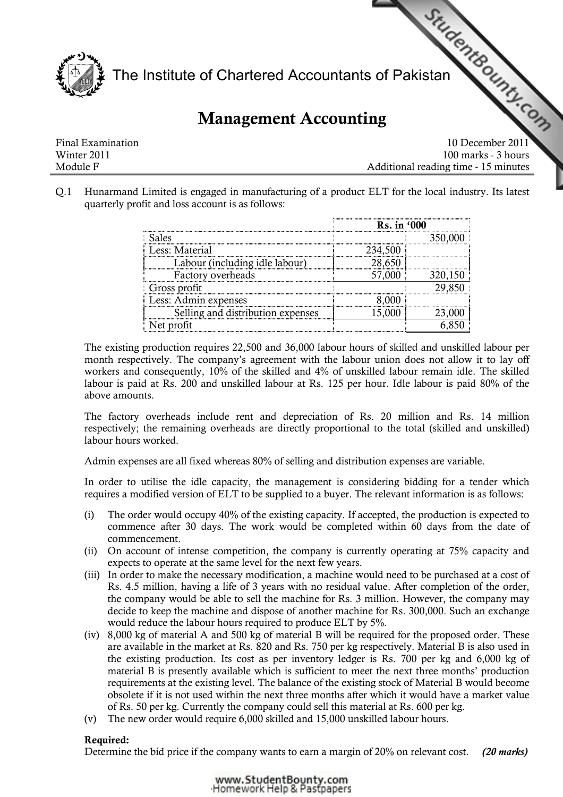

# Management Accounting

|                   | The Institute of Chartered Accountants of Pakistan<br><b>Management Accounting</b> |
|-------------------|------------------------------------------------------------------------------------|
|                   |                                                                                    |
| Final Examination | 10 December 2011                                                                   |
| Winter 2011       | 100 marks - 3 hours                                                                |
| Module F          | Additional reading time - 15 minutes                                               |

Q.1 Hunarmand Limited is engaged in manufacturing of a product ELT for the local industry. Its latest quarterly profit and loss account is as follows:

|                                   | Rs. in '000 |         |  |  |
|-----------------------------------|-------------|---------|--|--|
| Sales                             |             | 350,000 |  |  |
| Less: Material                    | 234,500     |         |  |  |
| Labour (including idle labour)    | 28,650      |         |  |  |
| Factory overheads                 | 57,000      | 320,150 |  |  |
| Gross profit                      |             | 29,850  |  |  |
| Less: Admin expenses              | 8.000       |         |  |  |
| Selling and distribution expenses | 15,000      |         |  |  |
| Net profit                        |             |         |  |  |

The existing production requires 22,500 and 36,000 labour hours of skilled and unskilled labour per month respectively. The company's agreement with the labour union does not allow it to lay off workers and consequently, 10% of the skilled and 4% of unskilled labour remain idle. The skilled labour is paid at Rs. 200 and unskilled labour at Rs. 125 per hour. Idle labour is paid 80% of the above amounts.

The factory overheads include rent and depreciation of Rs. 20 million and Rs. 14 million respectively; the remaining overheads are directly proportional to the total (skilled and unskilled) labour hours worked.

Admin expenses are all fixed whereas 80% of selling and distribution expenses are variable.

In order to utilise the idle capacity, the management is considering bidding for a tender which requires a modified version of ELT to be supplied to a buyer. The relevant information is as follows:

- (i) The order would occupy 40% of the existing capacity. If accepted, the production is expected to commence after 30 days. The work would be completed within 60 days from the date of commencement.
- (ii) On account of intense competition, the company is currently operating at 75% capacity and expects to operate at the same level for the next few years.
- (iii) In order to make the necessary modification, a machine would need to be purchased at a cost of Rs. 4.5 million, having a life of 3 years with no residual value. After completion of the order, the company would be able to sell the machine for Rs. 3 million. However, the company may decide to keep the machine and dispose of another machine for Rs. 300,000. Such an exchange would reduce the labour hours required to produce ELT by 5%.
- (iv) 8,000 kg of material A and 500 kg of material B will be required for the proposed order. These are available in the market at Rs. 820 and Rs. 750 per kg respectively. Material B is also used in the existing production. Its cost as per inventory ledger is Rs. 700 per kg and 6,000 kg of material B is presently available which is sufficient to meet the next three months' production requirements at the existing level. The balance of the existing stock of Material B would become obsolete if it is not used within the next three months after which it would have a market value of Rs. 50 per kg. Currently the company could sell this material at Rs. 600 per kg.
- (v) The new order would require 6,000 skilled and 15,000 unskilled labour hours.

# Required:

Determine the bid price if the company wants to earn a margin of 20% on relevant cost. (20 marks)

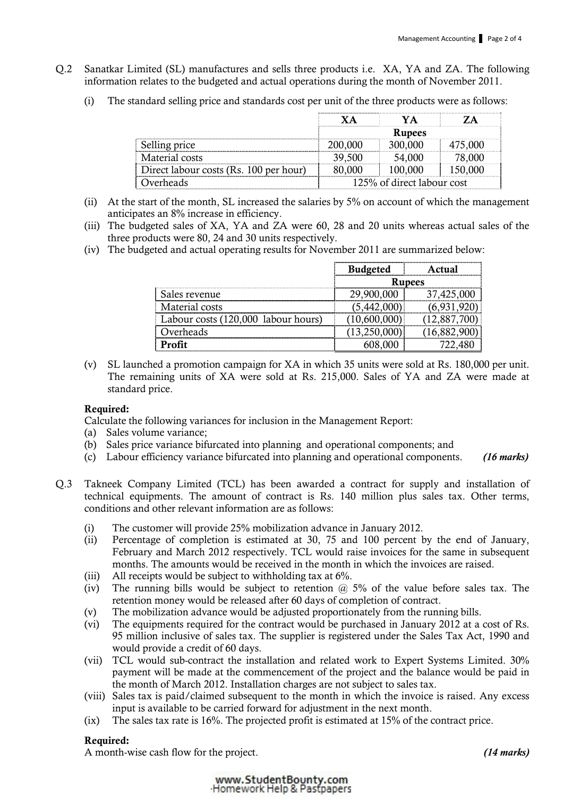- Q.2 Sanatkar Limited (SL) manufactures and sells three products i.e. XA, YA and ZA. The following information relates to the budgeted and actual operations during the month of November 2011.
	- (i) The standard selling price and standards cost per unit of the three products were as follows:

|                                        | <b>Rupees</b>              |         |  |  |  |
|----------------------------------------|----------------------------|---------|--|--|--|
| Selling price                          | 200.000                    | 300,000 |  |  |  |
| Material costs                         |                            | 54,000  |  |  |  |
| Direct labour costs (Rs. 100 per hour) |                            | 100.000 |  |  |  |
| )verheads                              | 125% of direct labour cost |         |  |  |  |

- (ii) At the start of the month, SL increased the salaries by 5% on account of which the management anticipates an 8% increase in efficiency.
- (iii) The budgeted sales of XA, YA and ZA were 60, 28 and 20 units whereas actual sales of the three products were 80, 24 and 30 units respectively.
- (iv) The budgeted and actual operating results for November 2011 are summarized below:

|                                     | <b>Budgeted</b> | t1121         |
|-------------------------------------|-----------------|---------------|
|                                     |                 | <b>Rupees</b> |
| Sales revenue                       | 29,900,000      | 37,425,000    |
| Material costs                      | 15,442,00       |               |
| Labour costs (120,000 labour hours) |                 |               |
| Overheads                           |                 |               |
|                                     |                 |               |

(v) SL launched a promotion campaign for XA in which 35 units were sold at Rs. 180,000 per unit. The remaining units of XA were sold at Rs. 215,000. Sales of YA and ZA were made at standard price.

#### Required:

Calculate the following variances for inclusion in the Management Report:

- (a) Sales volume variance;
- (b) Sales price variance bifurcated into planning and operational components; and
- (c) Labour efficiency variance bifurcated into planning and operational components. (16 marks)
- Q.3 Takneek Company Limited (TCL) has been awarded a contract for supply and installation of technical equipments. The amount of contract is Rs. 140 million plus sales tax. Other terms, conditions and other relevant information are as follows:
	- (i) The customer will provide 25% mobilization advance in January 2012.
	- (ii) Percentage of completion is estimated at 30, 75 and 100 percent by the end of January, February and March 2012 respectively. TCL would raise invoices for the same in subsequent months. The amounts would be received in the month in which the invoices are raised.
	- (iii) All receipts would be subject to withholding tax at 6%.
	- (iv) The running bills would be subject to retention  $\omega$  5% of the value before sales tax. The retention money would be released after 60 days of completion of contract.
	- (v) The mobilization advance would be adjusted proportionately from the running bills.
	- (vi) The equipments required for the contract would be purchased in January 2012 at a cost of Rs. 95 million inclusive of sales tax. The supplier is registered under the Sales Tax Act, 1990 and would provide a credit of 60 days.
	- (vii) TCL would sub-contract the installation and related work to Expert Systems Limited. 30% payment will be made at the commencement of the project and the balance would be paid in the month of March 2012. Installation charges are not subject to sales tax.
	- (viii) Sales tax is paid/claimed subsequent to the month in which the invoice is raised. Any excess input is available to be carried forward for adjustment in the next month.
	- (ix) The sales tax rate is 16%. The projected profit is estimated at 15% of the contract price.

#### Required:

A month-wise cash flow for the project. (14 marks) (14 marks)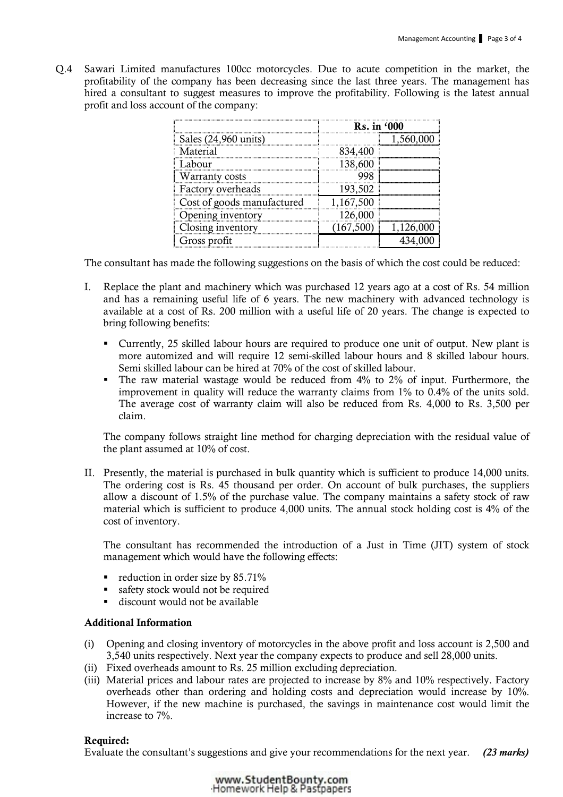Q.4 Sawari Limited manufactures 100cc motorcycles. Due to acute competition in the market, the profitability of the company has been decreasing since the last three years. The management has hired a consultant to suggest measures to improve the profitability. Following is the latest annual profit and loss account of the company:

|                            | Rs. in '000 |           |  |  |
|----------------------------|-------------|-----------|--|--|
| Sales (24,960 units)       |             | 1,560,000 |  |  |
| Material                   | 834,400     |           |  |  |
| Labour                     | 138,600     |           |  |  |
| Warranty costs             |             |           |  |  |
| Factory overheads          | 193,502     |           |  |  |
| Cost of goods manufactured | 1,167,500   |           |  |  |
| Opening inventory          | 126,000     |           |  |  |
| Closing inventory          | (167, 500)  | 1,126,000 |  |  |
| Gross profit               |             |           |  |  |

The consultant has made the following suggestions on the basis of which the cost could be reduced:

- I. Replace the plant and machinery which was purchased 12 years ago at a cost of Rs. 54 million and has a remaining useful life of 6 years. The new machinery with advanced technology is available at a cost of Rs. 200 million with a useful life of 20 years. The change is expected to bring following benefits:
	- Currently, 25 skilled labour hours are required to produce one unit of output. New plant is more automized and will require 12 semi-skilled labour hours and 8 skilled labour hours. Semi skilled labour can be hired at 70% of the cost of skilled labour.
	- The raw material wastage would be reduced from 4% to 2% of input. Furthermore, the improvement in quality will reduce the warranty claims from 1% to 0.4% of the units sold. The average cost of warranty claim will also be reduced from Rs. 4,000 to Rs. 3,500 per claim.

The company follows straight line method for charging depreciation with the residual value of the plant assumed at 10% of cost.

II. Presently, the material is purchased in bulk quantity which is sufficient to produce 14,000 units. The ordering cost is Rs. 45 thousand per order. On account of bulk purchases, the suppliers allow a discount of 1.5% of the purchase value. The company maintains a safety stock of raw material which is sufficient to produce 4,000 units. The annual stock holding cost is 4% of the cost of inventory.

The consultant has recommended the introduction of a Just in Time (JIT) system of stock management which would have the following effects:

- reduction in order size by  $85.71\%$
- safety stock would not be required
- discount would not be available

### Additional Information

- (i) Opening and closing inventory of motorcycles in the above profit and loss account is 2,500 and 3,540 units respectively. Next year the company expects to produce and sell 28,000 units.
- (ii) Fixed overheads amount to Rs. 25 million excluding depreciation.
- (iii) Material prices and labour rates are projected to increase by 8% and 10% respectively. Factory overheads other than ordering and holding costs and depreciation would increase by 10%. However, if the new machine is purchased, the savings in maintenance cost would limit the increase to 7%.

#### Required:

Evaluate the consultant's suggestions and give your recommendations for the next year. (23 marks)